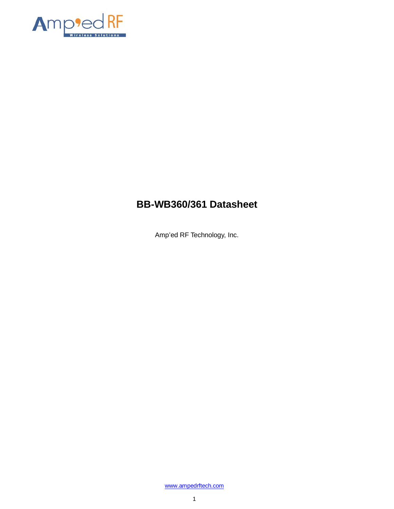

# **BB-WB360/361 Datasheet**

Amp'ed RF Technology, Inc.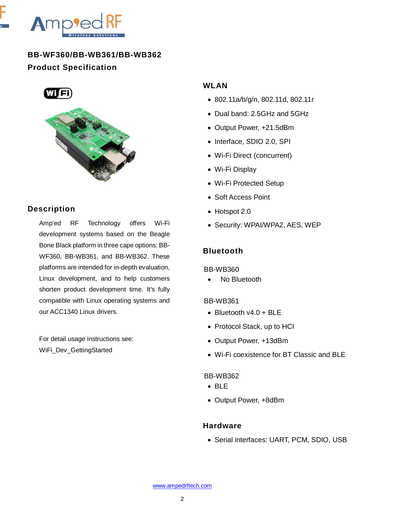

**BB-WF360/BB-WB361/BB-WB362 Product Specification**





# **Description**

Amp'ed RF Technology offers Wi-Fi development systems based on the Beagle Bone Black platform in three cape options: BB-WF360, BB-WB361, and BB-WB362. These platforms are intended for in-depth evaluation, Linux development, and to help customers shorten product development time. It's fully compatible with Linux operating systems and our ACC1340 Linux drivers.

For detail usage instructions see: WiFi\_Dev\_GettingStarted

## **WLAN**

- 802.11a/b/g/n, 802.11d, 802.11r
- Dual band: 2.5GHz and 5GHz
- Output Power, +21.5dBm
- Interface, SDIO 2.0, SPI
- Wi-Fi Direct (concurrent)
- Wi-Fi Display
- Wi-Fi Protected Setup
- Soft Access Point
- Hotspot 2.0
- Security: WPAI/WPA2, AES, WEP

# **Bluetooth**

#### BB-WB360

No Bluetooth

#### BB-WB361

- Bluetooth  $v4.0 + BLE$
- Protocol Stack, up to HCI
- Output Power, +13dBm
- Wi-Fi coexistence for BT Classic and BLE

#### BB-WB362

- BLE
- Output Power, +8dBm

#### **Hardware**

• Serial interfaces: UART, PCM, SDIO, USB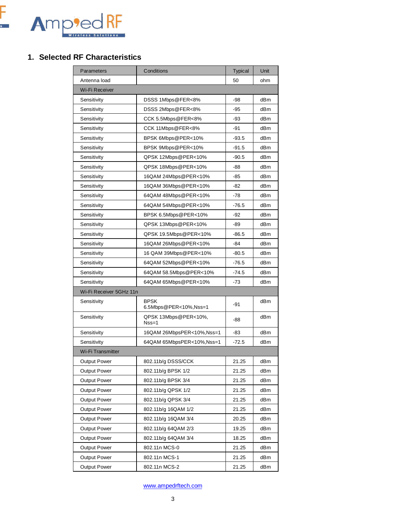

## **1. Selected RF Characteristics**

| Parameters              | Conditions                           | <b>Typical</b> | Unit            |
|-------------------------|--------------------------------------|----------------|-----------------|
| Antenna load            |                                      | 50             | ohm             |
| Wi-Fi Receiver          |                                      |                |                 |
| Sensitivity             | DSSS 1Mbps@FER<8%                    | -98            | dB <sub>m</sub> |
| Sensitivity             | DSSS 2Mbps@FER<8%                    | $-95$          | dB <sub>m</sub> |
| Sensitivity             | CCK 5.5Mbps@FER<8%                   | -93            | dBm             |
| Sensitivity             | CCK 11Mbps@FER<8%                    | -91            | dBm             |
| Sensitivity             | BPSK 6Mbps@PER<10%                   | $-93.5$        | dBm             |
| Sensitivity             | BPSK 9Mbps@PER<10%                   | $-91.5$        | dBm             |
| Sensitivity             | QPSK 12Mbps@PER<10%                  | $-90.5$        | dBm             |
| Sensitivity             | QPSK 18Mbps@PER<10%                  | -88            | dBm             |
| Sensitivity             | 16QAM 24Mbps@PER<10%                 | -85            | dBm             |
| Sensitivity             | 16QAM 36Mbps@PER<10%                 | -82            | dBm             |
| Sensitivity             | 64QAM 48Mbps@PER<10%                 | -78            | dBm             |
| Sensitivity             | 64QAM 54Mbps@PER<10%                 | $-76.5$        | dBm             |
| Sensitivity             | BPSK 6.5Mbps@PER<10%                 | -92            | dBm             |
| Sensitivity             | QPSK 13Mbps@PER<10%                  | -89            | dBm             |
| Sensitivity             | QPSK 19.5Mbps@PER<10%                | $-86.5$        | dBm             |
| Sensitivity             | 16QAM 26Mbps@PER<10%                 | -84            | dBm             |
| Sensitivity             | 16 QAM 39Mbps@PER<10%                | $-80.5$        | dBm             |
| Sensitivity             | 64QAM 52Mbps@PER<10%                 | $-76.5$        | dBm             |
| Sensitivity             | 64QAM 58.5Mbps@PER<10%               | $-74.5$        | dBm             |
| Sensitivity             | 64QAM 65Mbps@PER<10%                 | $-73$          | dBm             |
| Wi-Fi Receiver 5GHz 11n |                                      |                |                 |
| Sensitivity             | <b>BPSK</b><br>6.5Mbps@PER<10%,Nss=1 | -91            | dBm             |
| Sensitivity             | QPSK 13Mbps@PER<10%,<br>$Nss=1$      | -88            | dBm             |
| Sensitivity             | 16QAM 26MbpsPER<10%, Nss=1           | -83            | dBm             |
| Sensitivity             | 64QAM 65MbpsPER<10%, Nss=1           | $-72.5$        | dBm             |
| Wi-Fi Transmitter       |                                      |                |                 |
| <b>Output Power</b>     | 802.11b/g DSSS/CCK                   | 21.25          | dBm             |
| Output Power            | 802.11b/g BPSK 1/2                   | 21.25          | dBm             |
| Output Power            | 802.11b/g BPSK 3/4                   | 21.25          | dBm             |
| Output Power            | 802.11b/g QPSK 1/2                   | 21.25          | dBm             |
| <b>Output Power</b>     | 802.11b/g QPSK 3/4                   | 21.25          | dBm             |
| <b>Output Power</b>     | 802.11b/g 16QAM 1/2                  | 21.25          | dBm             |
| <b>Output Power</b>     | 802.11b/g 16QAM 3/4                  | 20.25          | dBm             |
| Output Power            | 802.11b/g 64QAM 2/3                  | 19.25          | dBm             |
| Output Power            | 802.11b/g 64QAM 3/4                  | 18.25          | dBm             |
| Output Power            | 802.11n MCS-0                        | 21.25          | dBm             |
| <b>Output Power</b>     | 802.11n MCS-1                        | 21.25          | dBm             |
| Output Power            | 802.11n MCS-2                        | 21.25          | dBm             |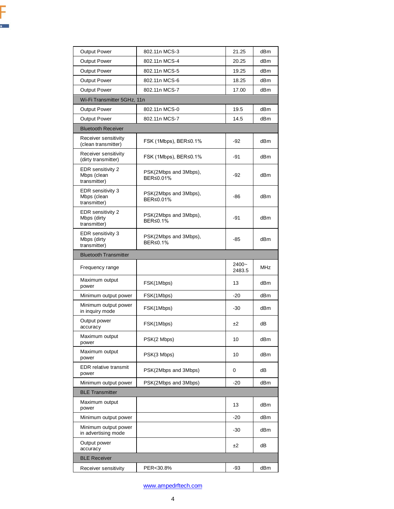| i<br>V |                          |        |        |
|--------|--------------------------|--------|--------|
|        | $\overline{\phantom{a}}$ |        |        |
| w      | I                        |        |        |
|        |                          |        |        |
|        |                          |        |        |
|        |                          |        |        |
| ł.     |                          |        |        |
|        |                          |        |        |
|        |                          |        | ÷<br>× |
| ٠      |                          | ł.     | í,     |
|        |                          | X<br>ï | Ÿ<br>ì |

| <b>Output Power</b>                              | 802.11n MCS-3                      | 21.25              | dBm |
|--------------------------------------------------|------------------------------------|--------------------|-----|
| <b>Output Power</b>                              | 802.11n MCS-4                      | 20.25              | dBm |
| <b>Output Power</b>                              | 802.11n MCS-5                      | 19.25              | dBm |
| <b>Output Power</b>                              | 802.11n MCS-6                      | 18.25              | dBm |
| <b>Output Power</b>                              | 802.11n MCS-7                      | 17.00              | dBm |
| Wi-Fi Transmitter 5GHz, 11n                      |                                    |                    |     |
| <b>Output Power</b>                              | 802.11n MCS-0                      | 19.5               | dBm |
| <b>Output Power</b>                              | 802.11n MCS-7                      | 14.5               | dBm |
| <b>Bluetooth Receiver</b>                        |                                    |                    |     |
| Receiver sensitivity<br>(clean transmitter)      | FSK (1Mbps), BER≤0.1%              | $-92$              | dBm |
| Receiver sensitivity<br>(dirty transmitter)      | FSK (1Mbps), BER≤0.1%              | -91                | dBm |
| EDR sensitivity 2<br>Mbps (clean<br>transmitter) | PSK(2Mbps and 3Mbps),<br>BER≤0.01% | -92                | dBm |
| EDR sensitivity 3<br>Mbps (clean<br>transmitter) | PSK(2Mbps and 3Mbps),<br>BER≤0.01% | -86                | dBm |
| EDR sensitivity 2<br>Mbps (dirty<br>transmitter) | PSK(2Mbps and 3Mbps),<br>BER≤0.1%  | -91                | dBm |
| EDR sensitivity 3<br>Mbps (dirty<br>transmitter) | PSK(2Mbps and 3Mbps),<br>BER≤0.1%  | -85                | dBm |
| <b>Bluetooth Transmitter</b>                     |                                    |                    |     |
| Frequency range                                  |                                    | $2400 -$<br>2483.5 | MHz |
| Maximum output<br>power                          | FSK(1Mbps)                         | 13                 | dBm |
| Minimum output power                             | FSK(1Mbps)                         | -20                | dBm |
| Minimum output power<br>in inquiry mode          | FSK(1Mbps)                         | -30                | dBm |
| Output power<br>accuracy                         | FSK(1Mbps)                         | ±2                 | dВ  |
| Maximum output<br>power                          | PSK(2 Mbps)                        | 10                 | dBm |
| Maximum output<br>power                          | PSK(3 Mbps)                        | 10                 | dBm |
| <b>EDR</b> relative transmit<br>power            | PSK(2Mbps and 3Mbps)               | 0                  | dB  |
| Minimum output power                             | PSK(2Mbps and 3Mbps)               | -20                | dBm |
| <b>BLE Transmitter</b>                           |                                    |                    |     |
| Maximum output<br>power                          |                                    | 13                 | dBm |
| Minimum output power                             |                                    | -20                | dBm |
| Minimum output power<br>in advertising mode      |                                    | -30                | dBm |
| Output power                                     |                                    |                    |     |
| accuracy                                         |                                    | ±2                 | dВ  |
| <b>BLE Receiver</b>                              |                                    |                    |     |
| Receiver sensitivity                             | PER<30.8%                          | -93                | dBm |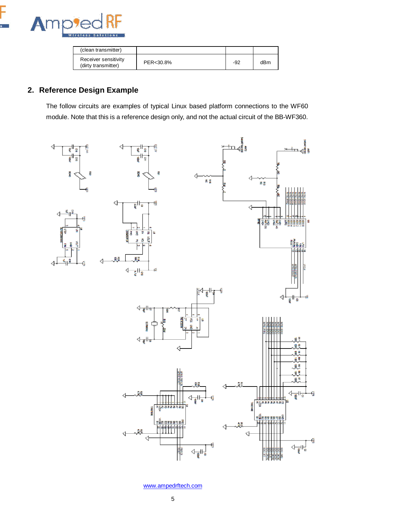

| (clean transmitter)                         |           |     |     |
|---------------------------------------------|-----------|-----|-----|
| Receiver sensitivity<br>(dirty transmitter) | PER<30.8% | -92 | dBm |

# **2. Reference Design Example**

The follow circuits are examples of typical Linux based platform connections to the WF60 module. Note that this is a reference design only, and not the actual circuit of the BB-WF360.